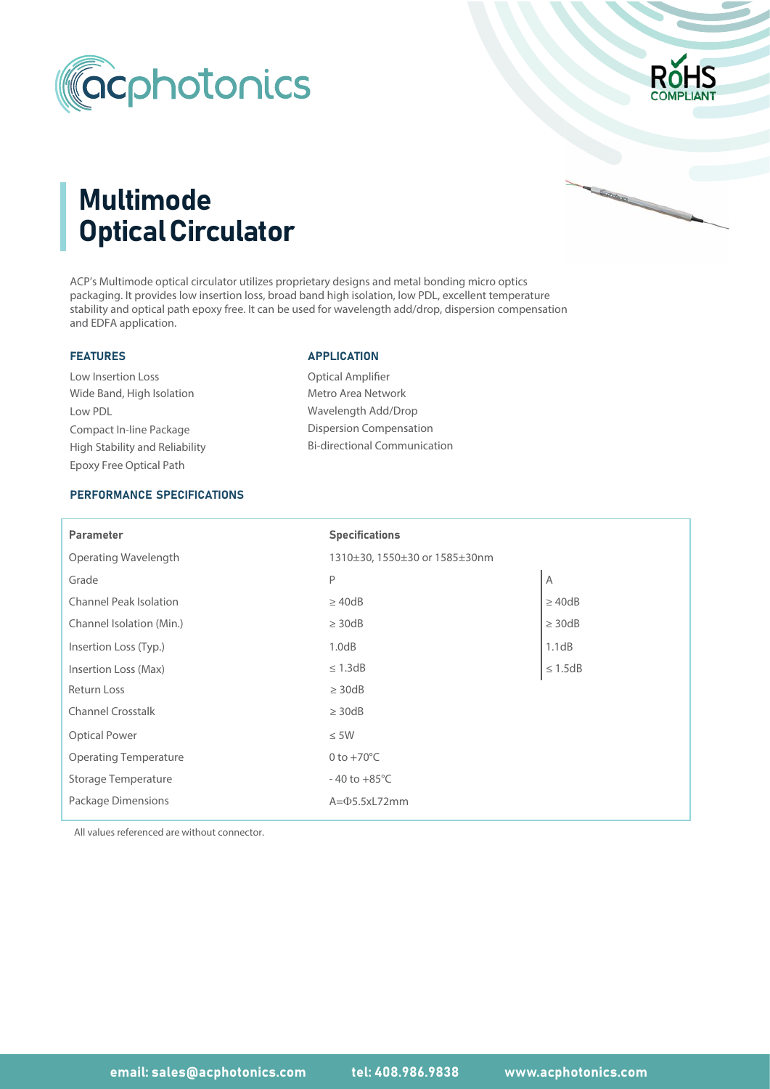



Garden of Contractor Contractor

# Multimode Optical Circulator

ACP's Multimode optical circulator utilizes proprietary designs and metal bonding micro optics packaging. It provides low insertion loss, broad band high isolation, low PDL, excellent temperature stability and optical path epoxy free. It can be used for wavelength add/drop, dispersion compensation and EDFA application.

#### FEATURES

Wide Band, High Isolation Low Insertion Loss Low PDL Compact In-line Package Epoxy Free Optical Path High Stability and Reliability

#### APPLICATION

Optical Amplifier Metro Area Network Wavelength Add/Drop Dispersion Compensation Bi-directional Communication

## PERFORMANCE SPECIFICATIONS

| <b>Parameter</b>              | <b>Specifications</b>         |                     |  |
|-------------------------------|-------------------------------|---------------------|--|
| Operating Wavelength          | 1310±30, 1550±30 or 1585±30nm |                     |  |
| Grade                         | P                             | Α                   |  |
| <b>Channel Peak Isolation</b> | $\geq$ 40dB                   | $\geq$ 40dB         |  |
| Channel Isolation (Min.)      | $\geq$ 30dB                   | $\geq$ 30dB         |  |
| Insertion Loss (Typ.)         | 1.0dB                         | 1.1dB               |  |
| Insertion Loss (Max)          | $\leq$ 1.3dB                  | $\leq 1.5\text{dB}$ |  |
| Return Loss                   | $\geq$ 30dB                   |                     |  |
| <b>Channel Crosstalk</b>      | $\geq$ 30dB                   |                     |  |
| <b>Optical Power</b>          | $\leq$ 5W                     |                     |  |
| <b>Operating Temperature</b>  | 0 to $+70^{\circ}$ C          |                     |  |
| Storage Temperature           | $-40$ to $+85^{\circ}$ C      |                     |  |
| Package Dimensions            | $A = \Phi$ 5.5xL72mm          |                     |  |

All values referenced are without connector.